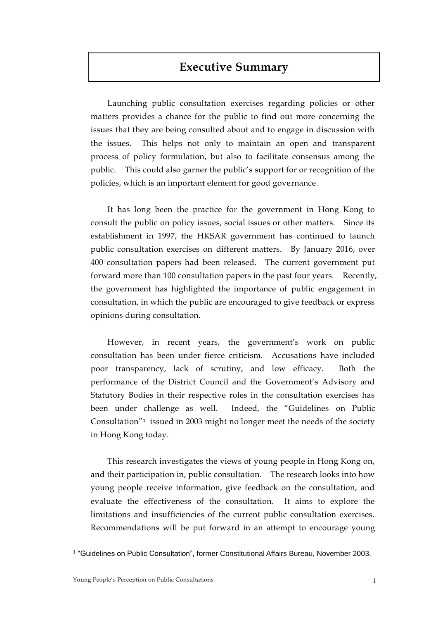# **Executive Summary**

Launching public consultation exercises regarding policies or other matters provides a chance for the public to find out more concerning the issues that they are being consulted about and to engage in discussion with the issues. This helps not only to maintain an open and transparent process of policy formulation, but also to facilitate consensus among the public. This could also garner the public's support for or recognition of the policies, which is an important element for good governance.

It has long been the practice for the government in Hong Kong to consult the public on policy issues, social issues or other matters. Since its establishment in 1997, the HKSAR government has continued to launch public consultation exercises on different matters. By January 2016, over 400 consultation papers had been released. The current government put forward more than 100 consultation papers in the past four years. Recently, the government has highlighted the importance of public engagement in consultation, in which the public are encouraged to give feedback or express opinions during consultation.

However, in recent years, the government's work on public consultation has been under fierce criticism. Accusations have included poor transparency, lack of scrutiny, and low efficacy. Both the performance of the District Council and the Government's Advisory and Statutory Bodies in their respective roles in the consultation exercises has been under challenge as well. Indeed, the "Guidelines on Public Consultation<sup>"1</sup> issued in 2003 might no longer meet the needs of the society in Hong Kong today.

This research investigates the views of young people in Hong Kong on, and their participation in, public consultation. The research looks into how young people receive information, give feedback on the consultation, and evaluate the effectiveness of the consultation. It aims to explore the limitations and insufficiencies of the current public consultation exercises. Recommendations will be put forward in an attempt to encourage young

 $\overline{a}$ 

<sup>1</sup> "Guidelines on Public Consultation", former Constitutional Affairs Bureau, November 2003.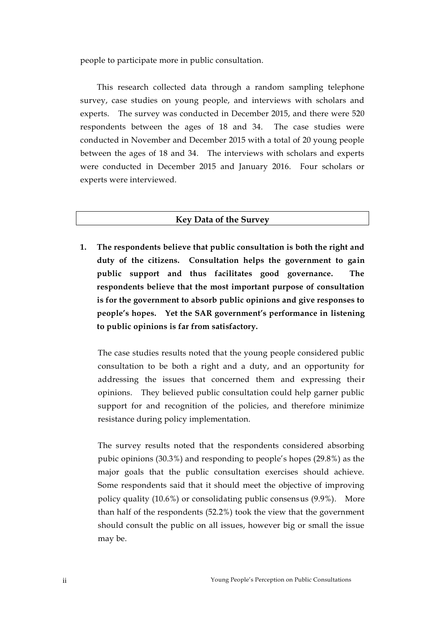people to participate more in public consultation.

This research collected data through a random sampling telephone survey, case studies on young people, and interviews with scholars and experts. The survey was conducted in December 2015, and there were 520 respondents between the ages of 18 and 34. The case studies were conducted in November and December 2015 with a total of 20 young people between the ages of 18 and 34. The interviews with scholars and experts were conducted in December 2015 and January 2016. Four scholars or experts were interviewed.

#### **Key Data of the Survey**

**1. The respondents believe that public consultation is both the right and duty of the citizens. Consultation helps the government to gain public support and thus facilitates good governance. The respondents believe that the most important purpose of consultation is for the government to absorb public opinions and give responses to people's hopes. Yet the SAR government's performance in listening to public opinions is far from satisfactory.** 

The case studies results noted that the young people considered public consultation to be both a right and a duty, and an opportunity for addressing the issues that concerned them and expressing their opinions. They believed public consultation could help garner public support for and recognition of the policies, and therefore minimize resistance during policy implementation.

The survey results noted that the respondents considered absorbing pubic opinions (30.3%) and responding to people's hopes (29.8%) as the major goals that the public consultation exercises should achieve. Some respondents said that it should meet the objective of improving policy quality (10.6%) or consolidating public consensus (9.9%). More than half of the respondents (52.2%) took the view that the government should consult the public on all issues, however big or small the issue may be.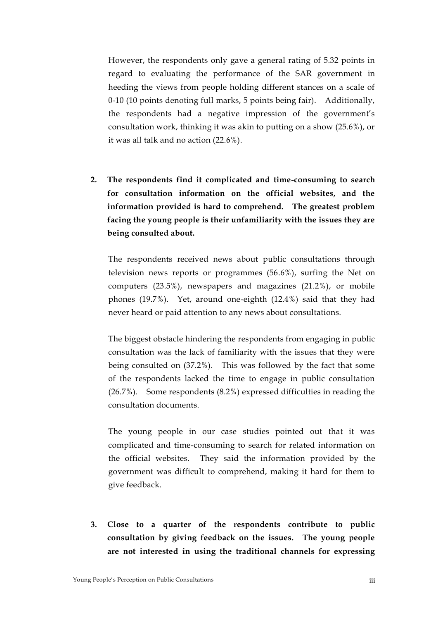However, the respondents only gave a general rating of 5.32 points in regard to evaluating the performance of the SAR government in heeding the views from people holding different stances on a scale of 0-10 (10 points denoting full marks, 5 points being fair). Additionally, the respondents had a negative impression of the government's consultation work, thinking it was akin to putting on a show (25.6%), or it was all talk and no action (22.6%).

**2. The respondents find it complicated and time-consuming to search for consultation information on the official websites, and the information provided is hard to comprehend. The greatest problem facing the young people is their unfamiliarity with the issues they are being consulted about.** 

The respondents received news about public consultations through television news reports or programmes (56.6%), surfing the Net on computers (23.5%), newspapers and magazines (21.2%), or mobile phones (19.7%). Yet, around one-eighth (12.4%) said that they had never heard or paid attention to any news about consultations.

The biggest obstacle hindering the respondents from engaging in public consultation was the lack of familiarity with the issues that they were being consulted on (37.2%). This was followed by the fact that some of the respondents lacked the time to engage in public consultation (26.7%). Some respondents (8.2%) expressed difficulties in reading the consultation documents.

The young people in our case studies pointed out that it was complicated and time-consuming to search for related information on the official websites. They said the information provided by the government was difficult to comprehend, making it hard for them to give feedback.

**3. Close to a quarter of the respondents contribute to public consultation by giving feedback on the issues. The young people are not interested in using the traditional channels for expressing**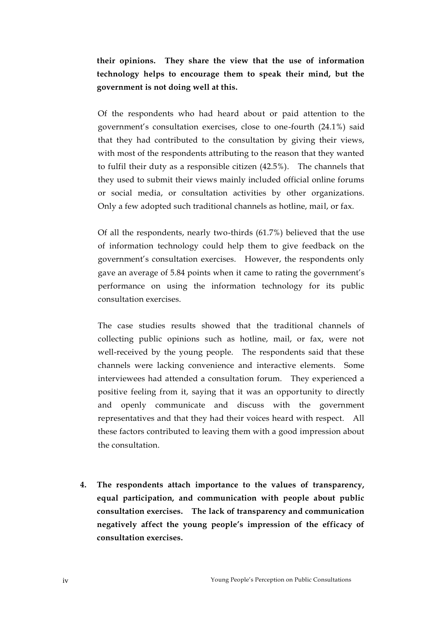**their opinions. They share the view that the use of information technology helps to encourage them to speak their mind, but the government is not doing well at this.**

Of the respondents who had heard about or paid attention to the government's consultation exercises, close to one-fourth (24.1%) said that they had contributed to the consultation by giving their views, with most of the respondents attributing to the reason that they wanted to fulfil their duty as a responsible citizen (42.5%). The channels that they used to submit their views mainly included official online forums or social media, or consultation activities by other organizations. Only a few adopted such traditional channels as hotline, mail, or fax.

Of all the respondents, nearly two-thirds (61.7%) believed that the use of information technology could help them to give feedback on the government's consultation exercises. However, the respondents only gave an average of 5.84 points when it came to rating the government's performance on using the information technology for its public consultation exercises.

The case studies results showed that the traditional channels of collecting public opinions such as hotline, mail, or fax, were not well-received by the young people. The respondents said that these channels were lacking convenience and interactive elements. Some interviewees had attended a consultation forum. They experienced a positive feeling from it, saying that it was an opportunity to directly and openly communicate and discuss with the government representatives and that they had their voices heard with respect. All these factors contributed to leaving them with a good impression about the consultation.

**4. The respondents attach importance to the values of transparency, equal participation, and communication with people about public consultation exercises. The lack of transparency and communication negatively affect the young people's impression of the efficacy of consultation exercises.**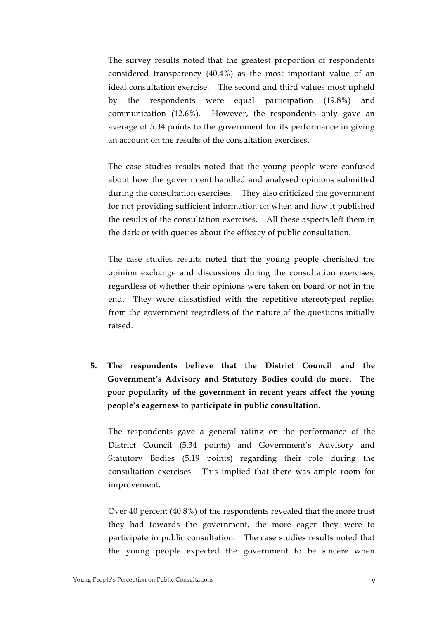The survey results noted that the greatest proportion of respondents considered transparency (40.4%) as the most important value of an ideal consultation exercise. The second and third values most upheld by the respondents were equal participation (19.8%) and communication (12.6%). However, the respondents only gave an average of 5.34 points to the government for its performance in giving an account on the results of the consultation exercises.

The case studies results noted that the young people were confused about how the government handled and analysed opinions submitted during the consultation exercises. They also criticized the government for not providing sufficient information on when and how it published the results of the consultation exercises. All these aspects left them in the dark or with queries about the efficacy of public consultation.

The case studies results noted that the young people cherished the opinion exchange and discussions during the consultation exercises, regardless of whether their opinions were taken on board or not in the end. They were dissatisfied with the repetitive stereotyped replies from the government regardless of the nature of the questions initially raised.

**5. The respondents believe that the District Council and the Government's Advisory and Statutory Bodies could do more. The poor popularity of the government in recent years affect the young people's eagerness to participate in public consultation.**

The respondents gave a general rating on the performance of the District Council (5.34 points) and Government's Advisory and Statutory Bodies (5.19 points) regarding their role during the consultation exercises. This implied that there was ample room for improvement.

Over 40 percent (40.8%) of the respondents revealed that the more trust they had towards the government, the more eager they were to participate in public consultation. The case studies results noted that the young people expected the government to be sincere when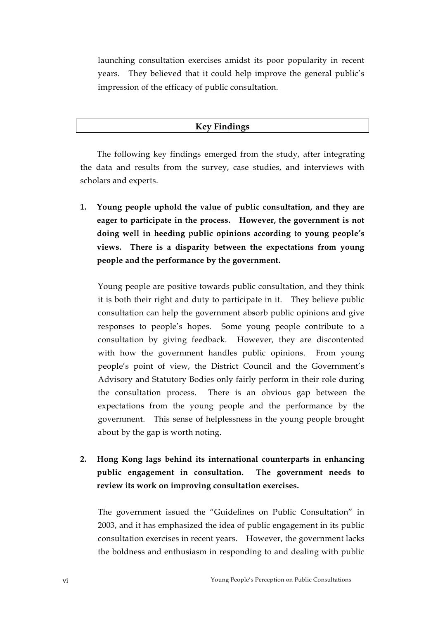launching consultation exercises amidst its poor popularity in recent years. They believed that it could help improve the general public's impression of the efficacy of public consultation.

### **Key Findings**

The following key findings emerged from the study, after integrating the data and results from the survey, case studies, and interviews with scholars and experts.

**1. Young people uphold the value of public consultation, and they are eager to participate in the process. However, the government is not doing well in heeding public opinions according to young people's views. There is a disparity between the expectations from young people and the performance by the government.** 

Young people are positive towards public consultation, and they think it is both their right and duty to participate in it. They believe public consultation can help the government absorb public opinions and give responses to people's hopes. Some young people contribute to a consultation by giving feedback. However, they are discontented with how the government handles public opinions. From young people's point of view, the District Council and the Government's Advisory and Statutory Bodies only fairly perform in their role during the consultation process. There is an obvious gap between the expectations from the young people and the performance by the government. This sense of helplessness in the young people brought about by the gap is worth noting.

## **2. Hong Kong lags behind its international counterparts in enhancing public engagement in consultation. The government needs to review its work on improving consultation exercises.**

The government issued the "Guidelines on Public Consultation" in 2003, and it has emphasized the idea of public engagement in its public consultation exercises in recent years. However, the government lacks the boldness and enthusiasm in responding to and dealing with public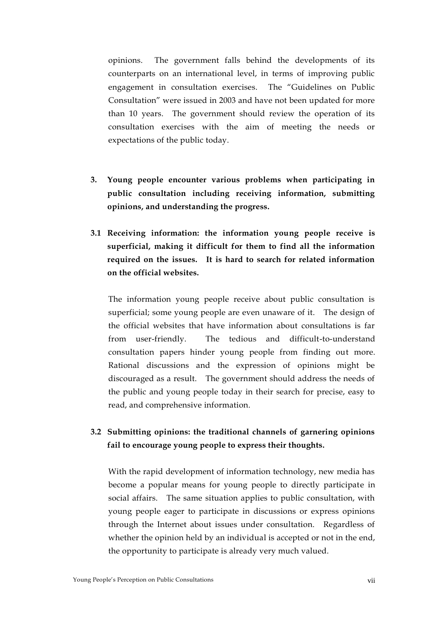opinions. The government falls behind the developments of its counterparts on an international level, in terms of improving public engagement in consultation exercises. The "Guidelines on Public Consultation" were issued in 2003 and have not been updated for more than 10 years. The government should review the operation of its consultation exercises with the aim of meeting the needs or expectations of the public today.

- **3. Young people encounter various problems when participating in public consultation including receiving information, submitting opinions, and understanding the progress.**
- **3.1 Receiving information: the information young people receive is superficial, making it difficult for them to find all the information required on the issues. It is hard to search for related information on the official websites.**

The information young people receive about public consultation is superficial; some young people are even unaware of it. The design of the official websites that have information about consultations is far from user-friendly. The tedious and difficult-to-understand consultation papers hinder young people from finding out more. Rational discussions and the expression of opinions might be discouraged as a result. The government should address the needs of the public and young people today in their search for precise, easy to read, and comprehensive information.

### **3.2 Submitting opinions: the traditional channels of garnering opinions fail to encourage young people to express their thoughts.**

With the rapid development of information technology, new media has become a popular means for young people to directly participate in social affairs. The same situation applies to public consultation, with young people eager to participate in discussions or express opinions through the Internet about issues under consultation. Regardless of whether the opinion held by an individual is accepted or not in the end, the opportunity to participate is already very much valued.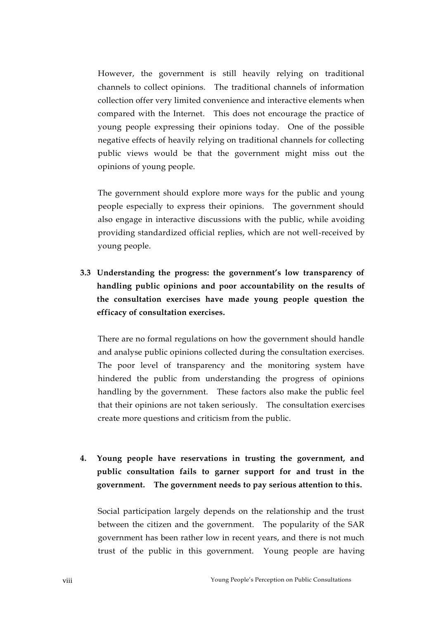However, the government is still heavily relying on traditional channels to collect opinions. The traditional channels of information collection offer very limited convenience and interactive elements when compared with the Internet. This does not encourage the practice of young people expressing their opinions today. One of the possible negative effects of heavily relying on traditional channels for collecting public views would be that the government might miss out the opinions of young people.

The government should explore more ways for the public and young people especially to express their opinions. The government should also engage in interactive discussions with the public, while avoiding providing standardized official replies, which are not well-received by young people.

**3.3 Understanding the progress: the government's low transparency of handling public opinions and poor accountability on the results of the consultation exercises have made young people question the efficacy of consultation exercises.** 

There are no formal regulations on how the government should handle and analyse public opinions collected during the consultation exercises. The poor level of transparency and the monitoring system have hindered the public from understanding the progress of opinions handling by the government. These factors also make the public feel that their opinions are not taken seriously. The consultation exercises create more questions and criticism from the public.

**4. Young people have reservations in trusting the government, and public consultation fails to garner support for and trust in the government. The government needs to pay serious attention to this.** 

Social participation largely depends on the relationship and the trust between the citizen and the government. The popularity of the SAR government has been rather low in recent years, and there is not much trust of the public in this government. Young people are having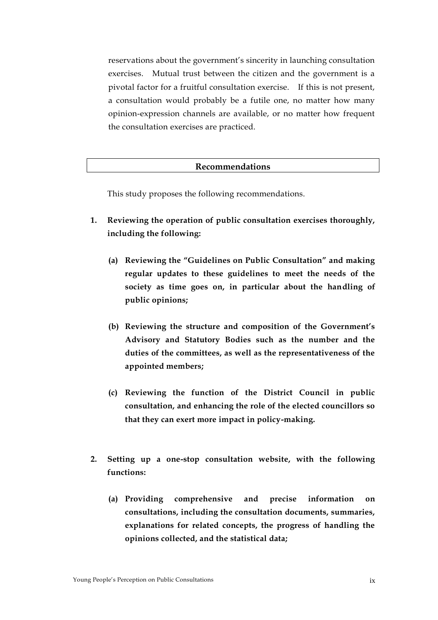reservations about the government's sincerity in launching consultation exercises. Mutual trust between the citizen and the government is a pivotal factor for a fruitful consultation exercise. If this is not present, a consultation would probably be a futile one, no matter how many opinion-expression channels are available, or no matter how frequent the consultation exercises are practiced.

#### **Recommendations**

This study proposes the following recommendations.

- **1. Reviewing the operation of public consultation exercises thoroughly, including the following:**
	- **(a) Reviewing the "Guidelines on Public Consultation" and making regular updates to these guidelines to meet the needs of the society as time goes on, in particular about the handling of public opinions;**
	- **(b) Reviewing the structure and composition of the Government's Advisory and Statutory Bodies such as the number and the duties of the committees, as well as the representativeness of the appointed members;**
	- **(c) Reviewing the function of the District Council in public consultation, and enhancing the role of the elected councillors so that they can exert more impact in policy-making.**
- **2. Setting up a one-stop consultation website, with the following functions:**
	- **(a) Providing comprehensive and precise information on consultations, including the consultation documents, summaries, explanations for related concepts, the progress of handling the opinions collected, and the statistical data;**